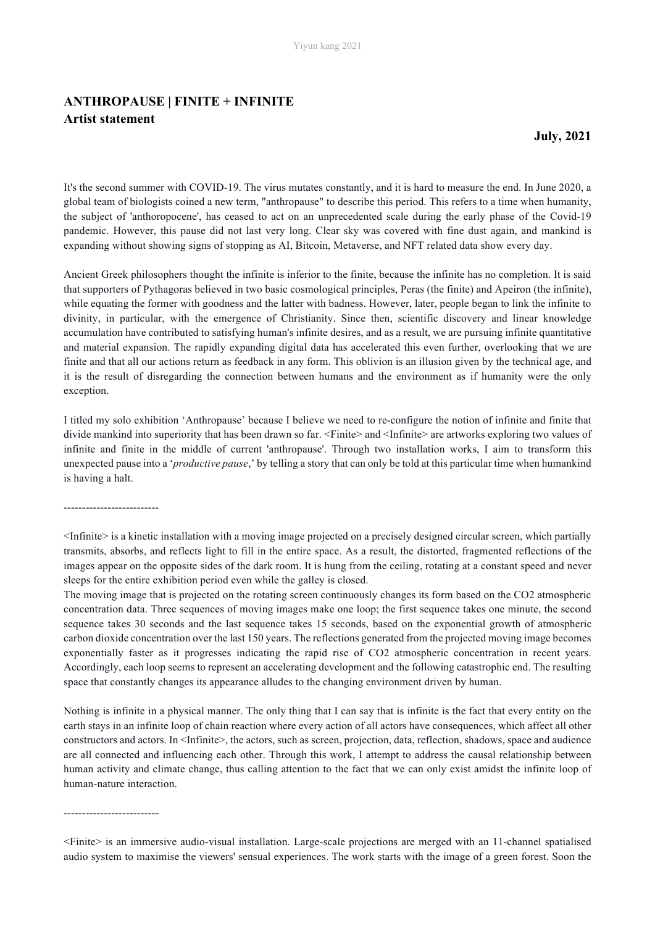## **ANTHROPAUSE | FINITE + INFINITE Artist statement**

**July, 2021** 

It's the second summer with COVID-19. The virus mutates constantly, and it is hard to measure the end. In June 2020, a global team of biologists coined a new term, "anthropause" to describe this period. This refers to a time when humanity, the subject of 'anthoropocene', has ceased to act on an unprecedented scale during the early phase of the Covid-19 pandemic. However, this pause did not last very long. Clear sky was covered with fine dust again, and mankind is expanding without showing signs of stopping as AI, Bitcoin, Metaverse, and NFT related data show every day.

Ancient Greek philosophers thought the infinite is inferior to the finite, because the infinite has no completion. It is said that supporters of Pythagoras believed in two basic cosmological principles, Peras (the finite) and Apeiron (the infinite), while equating the former with goodness and the latter with badness. However, later, people began to link the infinite to divinity, in particular, with the emergence of Christianity. Since then, scientific discovery and linear knowledge accumulation have contributed to satisfying human's infinite desires, and as a result, we are pursuing infinite quantitative and material expansion. The rapidly expanding digital data has accelerated this even further, overlooking that we are finite and that all our actions return as feedback in any form. This oblivion is an illusion given by the technical age, and it is the result of disregarding the connection between humans and the environment as if humanity were the only exception.

I titled my solo exhibition 'Anthropause' because I believe we need to re-configure the notion of infinite and finite that divide mankind into superiority that has been drawn so far. <Finite> and <Infinite> are artworks exploring two values of infinite and finite in the middle of current 'anthropause'. Through two installation works, I aim to transform this unexpected pause into a '*productive pause*,' by telling a story that can only be told at this particular time when humankind is having a halt.

--------------------------

<Infinite> is a kinetic installation with a moving image projected on a precisely designed circular screen, which partially transmits, absorbs, and reflects light to fill in the entire space. As a result, the distorted, fragmented reflections of the images appear on the opposite sides of the dark room. It is hung from the ceiling, rotating at a constant speed and never sleeps for the entire exhibition period even while the galley is closed.

The moving image that is projected on the rotating screen continuously changes its form based on the CO2 atmospheric concentration data. Three sequences of moving images make one loop; the first sequence takes one minute, the second sequence takes 30 seconds and the last sequence takes 15 seconds, based on the exponential growth of atmospheric carbon dioxide concentration over the last 150 years. The reflections generated from the projected moving image becomes exponentially faster as it progresses indicating the rapid rise of CO2 atmospheric concentration in recent years. Accordingly, each loop seems to represent an accelerating development and the following catastrophic end. The resulting space that constantly changes its appearance alludes to the changing environment driven by human.

Nothing is infinite in a physical manner. The only thing that I can say that is infinite is the fact that every entity on the earth stays in an infinite loop of chain reaction where every action of all actors have consequences, which affect all other constructors and actors. In <Infinite>, the actors, such as screen, projection, data, reflection, shadows, space and audience are all connected and influencing each other. Through this work, I attempt to address the causal relationship between human activity and climate change, thus calling attention to the fact that we can only exist amidst the infinite loop of human-nature interaction.

--------------------------

<Finite> is an immersive audio-visual installation. Large-scale projections are merged with an 11-channel spatialised audio system to maximise the viewers' sensual experiences. The work starts with the image of a green forest. Soon the